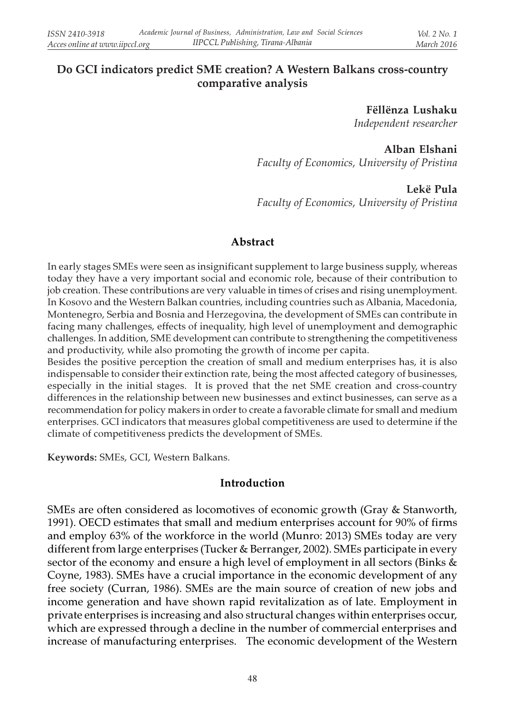# Do GCI indicators predict SME creation? A Western Balkans cross-country comparative analysis

Fëllënza Lushaku Independent researcher

Alban Elshani Faculty of Economics, University of Pristina

Lekë Pula Faculty of Economics, University of Pristina

#### Abstract

In early stages SMEs were seen as insignificant supplement to large business supply, whereas today they have a very important social and economic role, because of their contribution to job creation. These contributions are very valuable in times of crises and rising unemployment. In Kosovo and the Western Balkan countries, including countries such as Albania, Macedonia, Montenegro, Serbia and Bosnia and Herzegovina, the development of SMEs can contribute in facing many challenges, effects of inequality, high level of unemployment and demographic challenges. In addition, SME development can contribute to strengthening the competitiveness and productivity, while also promoting the growth of income per capita.

Besides the positive perception the creation of small and medium enterprises has, it is also indispensable to consider their extinction rate, being the most affected category of businesses, especially in the initial stages. It is proved that the net SME creation and cross-country differences in the relationship between new businesses and extinct businesses, can serve as a recommendation for policy makers in order to create a favorable climate for small and medium enterprises. GCI indicators that measures global competitiveness are used to determine if the climate of competitiveness predicts the development of SMEs.

Keywords: SMEs, GCI, Western Balkans.

#### Introduction

SMEs are often considered as locomotives of economic growth (Gray & Stanworth, 1991). OECD estimates that small and medium enterprises account for 90% of firms and employ 63% of the workforce in the world (Munro: 2013) SMEs today are very different from large enterprises (Tucker & Berranger, 2002). SMEs participate in every sector of the economy and ensure a high level of employment in all sectors (Binks & Coyne, 1983). SMEs have a crucial importance in the economic development of any free society (Curran, 1986). SMEs are the main source of creation of new jobs and income generation and have shown rapid revitalization as of late. Employment in private enterprises is increasing and also structural changes within enterprises occur, which are expressed through a decline in the number of commercial enterprises and increase of manufacturing enterprises. The economic development of the Western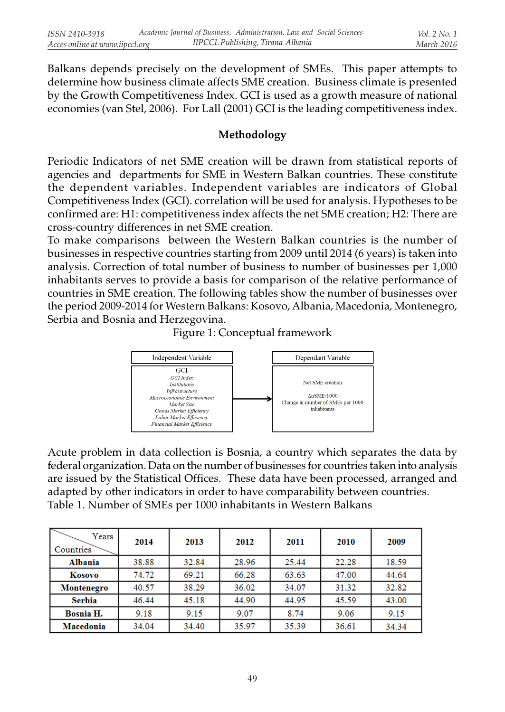Balkans depends precisely on the development of SMEs. This paper attempts to determine how business climate affects SME creation. Business climate is presented by the Growth Competitiveness Index. GCI is used as a growth measure of national economies (van Stel, 2006). For Lall (2001) GCI is the leading competitiveness index.

### Methodology

Periodic Indicators of net SME creation will be drawn from statistical reports of agencies and departments for SME in Western Balkan countries. These constitute the dependent variables. Independent variables are indicators of Global Competitiveness Index (GCI). correlation will be used for analysis. Hypotheses to be confirmed are: H1: competitiveness index affects the net SME creation; H2: There are cross-country differences in net SME creation.

To make comparisons between the Western Balkan countries is the number of businesses in respective countries starting from 2009 until 2014 (6 years) is taken into analysis. Correction of total number of business to number of businesses per 1,000 inhabitants serves to provide a basis for comparison of the relative performance of countries in SME creation. The following tables show the number of businesses over the period 2009-2014 for Western Balkans: Kosovo, Albania, Macedonia, Montenegro, Serbia and Bosnia and Herzegovina.





Acute problem in data collection is Bosnia, a country which separates the data by federal organization. Data on the number of businesses for countries taken into analysis are issued by the Statistical Offices. These data have been processed, arranged and adapted by other indicators in order to have comparability between countries. Table 1. Number of SMEs per 1000 inhabitants in Western Balkans

| Years<br>Countries | 2014  | 2013  | 2012  | 2011  | 2010  | 2009  |
|--------------------|-------|-------|-------|-------|-------|-------|
| <b>Albania</b>     | 38.88 | 32.84 | 28.96 | 25.44 | 22.28 | 18.59 |
| Kosovo             | 74.72 | 69.21 | 66.28 | 63.63 | 47.00 | 44.64 |
| Montenegro         | 40.57 | 38.29 | 36.02 | 34.07 | 31.32 | 32.82 |
| <b>Serbia</b>      | 46.44 | 45.18 | 44.90 | 44.95 | 45.59 | 43.00 |
| Bosnia H.          | 9.18  | 9.15  | 9.07  | 8.74  | 9.06  | 9.15  |
| Macedonia          | 34.04 | 34.40 | 35.97 | 35.39 | 36.61 | 34.34 |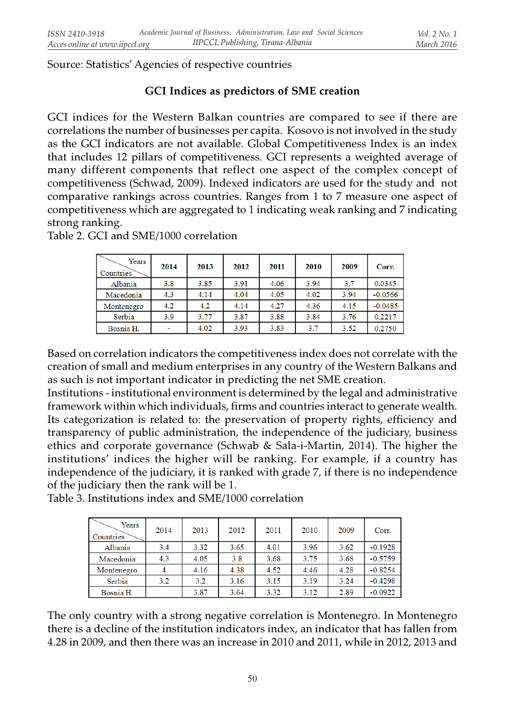Source: Statistics' Agencies of respective countries

## GCI Indices as predictors of SME creation

GCI indices for the Western Balkan countries are compared to see if there are correlations the number of businesses per capita. Kosovo is not involved in the study as the GCI indicators are not available. Global Competitiveness Index is an index that includes 12 pillars of competitiveness. GCI represents a weighted average of many different components that reflect one aspect of the complex concept of competitiveness (Schwad, 2009). Indexed indicators are used for the study and not comparative rankings across countries. Ranges from 1 to 7 measure one aspect of competitiveness which are aggregated to 1 indicating weak ranking and 7 indicating strong ranking.

| Years<br>Countries | 2014 | 2013 | 2012 | 2011 | 2010 | 2009 | Corr.     |
|--------------------|------|------|------|------|------|------|-----------|
| Albania            | 3.8  | 3.85 | 3.91 | 4.06 | 3.94 | 3.7  | 0.0345    |
| Macedonia          | 4.3  | 4.14 | 4.04 | 4.05 | 4.02 | 3.94 | $-0.0566$ |
| Montenegro         | 4.2  | 4.2  | 4.14 | 4.27 | 4.36 | 4.15 | $-0.0485$ |
| Serbia             | 3.9  | 3.77 | 3.87 | 3.88 | 3.84 | 3.76 | 0.2217    |
| Bosnia H.          |      | 4.02 | 3.93 | 3.83 | 3.7  | 3.52 | 0.2750    |

Table 2. GCI and SME/1000 correlation

Based on correlation indicators the competitiveness index does not correlate with the creation of small and medium enterprises in any country of the Western Balkans and as such is not important indicator in predicting the net SME creation.

Institutions - institutional environment is determined by the legal and administrative framework within which individuals, firms and countries interact to generate wealth. Its categorization is related to: the preservation of property rights, efficiency and transparency of public administration, the independence of the judiciary, business ethics and corporate governance (Schwab & Sala-i-Martin, 2014). The higher the institutions' indices the higher will be ranking. For example, if a country has independence of the judiciary, it is ranked with grade 7, if there is no independence of the judiciary then the rank will be 1.

Table 3. Institutions index and SME/1000 correlation

| Years<br>Countries | 2014 | 2013 | 2012 | 2011 | 2010 | 2009 | Corr.     |
|--------------------|------|------|------|------|------|------|-----------|
| Albania            | 3.4  | 3.32 | 3.65 | 4.01 | 3.96 | 3.62 | $-0.1928$ |
| Macedonia          | 4.3  | 4.05 | 3.8  | 3.68 | 3.75 | 3.68 | $-0.5759$ |
| Montenegro         |      | 4.16 | 4.38 | 4.52 | 4.46 | 4.28 | $-0.8254$ |
| Serbia             | 3.2  | 3.2  | 3.16 | 3.15 | 3.19 | 3.24 | $-0.4298$ |
| Bosnia H.          |      | 3.87 | 3.64 | 3.32 | 3.12 | 2.89 | $-0.0922$ |

The only country with a strong negative correlation is Montenegro. In Montenegro there is a decline of the institution indicators index, an indicator that has fallen from 4.28 in 2009, and then there was an increase in 2010 and 2011, while in 2012, 2013 and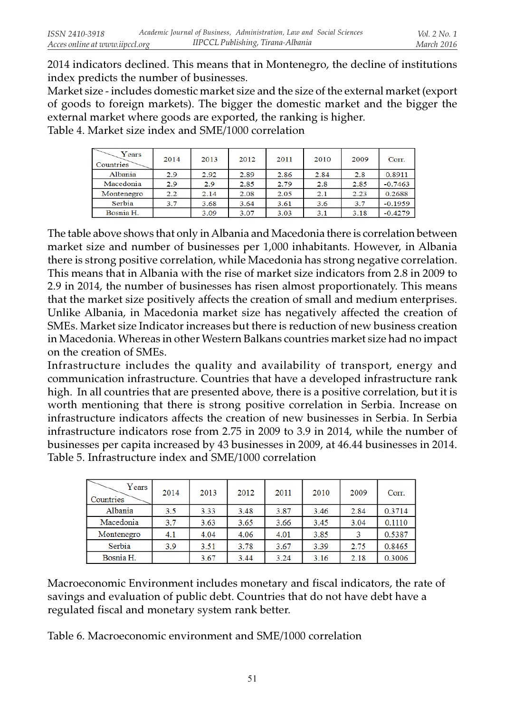2014 indicators declined. This means that in Montenegro, the decline of institutions index predicts the number of businesses.

Market size - includes domestic market size and the size of the external market (export of goods to foreign markets). The bigger the domestic market and the bigger the external market where goods are exported, the ranking is higher. Table 4. Market size index and SME/1000 correlation

| Years<br>Countries | 2014 | 2013 | 2012 | 2011 | 2010 | 2009 | Corr.     |
|--------------------|------|------|------|------|------|------|-----------|
| Albania            | 2.9  | 2.92 | 2.89 | 2.86 | 2.84 | 2.8  | 0.8911    |
| Macedonia          | 2.9  | 2.9  | 2.85 | 2.79 | 2.8  | 2.85 | $-0.7463$ |
| Montenegro         | 2.2  | 2.14 | 2.08 | 2.05 | 2.1  | 2.23 | 0.2688    |
| Serbia             | 3.7  | 3.68 | 3.64 | 3.61 | 3.6  | 3.7  | $-0.1959$ |
| Bosnia H.          |      | 3.09 | 3.07 | 3.03 | 3.1  | 3.18 | $-0.4279$ |

The table above shows that only in Albania and Macedonia there is correlation between market size and number of businesses per 1,000 inhabitants. However, in Albania there is strong positive correlation, while Macedonia has strong negative correlation. This means that in Albania with the rise of market size indicators from 2.8 in 2009 to 2.9 in 2014, the number of businesses has risen almost proportionately. This means that the market size positively affects the creation of small and medium enterprises. Unlike Albania, in Macedonia market size has negatively affected the creation of SMEs. Market size Indicator increases but there is reduction of new business creation in Macedonia. Whereas in other Western Balkans countries market size had no impact on the creation of SMEs.

Infrastructure includes the quality and availability of transport, energy and communication infrastructure. Countries that have a developed infrastructure rank high. In all countries that are presented above, there is a positive correlation, but it is worth mentioning that there is strong positive correlation in Serbia. Increase on infrastructure indicators affects the creation of new businesses in Serbia. In Serbia infrastructure indicators rose from 2.75 in 2009 to 3.9 in 2014, while the number of businesses per capita increased by 43 businesses in 2009, at 46.44 businesses in 2014. Table 5. Infrastructure index and SME/1000 correlation

| Years<br>l Countries | 2014 | 2013 | 2012 | 2011 | 2010 | 2009 | Corr.  |
|----------------------|------|------|------|------|------|------|--------|
| Albania              | 3.5  | 3.33 | 3.48 | 3.87 | 3.46 | 2.84 | 0.3714 |
| Macedonia            | 3.7  | 3.63 | 3.65 | 3.66 | 3.45 | 3.04 | 0.1110 |
| Montenegro           | 4.1  | 4.04 | 4.06 | 4.01 | 3.85 | ٩    | 0.5387 |
| Serbia               | 3.9  | 3.51 | 3.78 | 3.67 | 3.39 | 2.75 | 0.8465 |
| Bosnia H.            |      | 3.67 | 3.44 | 3.24 | 3.16 | 2.18 | 0.3006 |

Macroeconomic Environment includes monetary and fiscal indicators, the rate of savings and evaluation of public debt. Countries that do not have debt have a regulated fiscal and monetary system rank better.

Table 6. Macroeconomic environment and SME/1000 correlation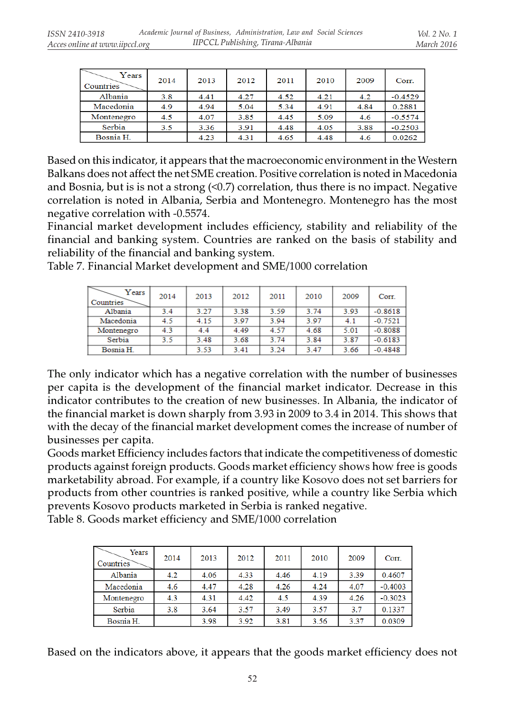| Years<br>Countries | 2014 | 2013 | 2012 | 2011 | 2010 | 2009 | Corr.     |
|--------------------|------|------|------|------|------|------|-----------|
| Albania            | 3.8  | 4.41 | 4.27 | 4.52 | 4.21 | 4.2  | $-0.4529$ |
| Macedonia          | 4.9  | 4.94 | 5.04 | 5.34 | 4.91 | 4.84 | 0.2881    |
| Montenegro         | 4.5  | 4.07 | 3.85 | 4.45 | 5.09 | 4.6  | $-0.5574$ |
| Serbia             | 3.5  | 3.36 | 3.91 | 4.48 | 4.05 | 3.88 | $-0.2503$ |
| Bosnia H.          |      | 4.23 | 4.31 | 4.65 | 4.48 | 4.6  | 0.0262    |

Based on this indicator, it appears that the macroeconomic environment in the Western Balkans does not affect the net SME creation. Positive correlation is noted in Macedonia and Bosnia, but is is not a strong (<0.7) correlation, thus there is no impact. Negative correlation is noted in Albania, Serbia and Montenegro. Montenegro has the most negative correlation with -0.5574.

Financial market development includes efficiency, stability and reliability of the financial and banking system. Countries are ranked on the basis of stability and reliability of the financial and banking system.

Table 7. Financial Market development and SME/1000 correlation

| ↽<br>Years<br>Countries | 2014 | 2013 | 2012 | 2011 | 2010 | 2009 | Corr.     |
|-------------------------|------|------|------|------|------|------|-----------|
| Albania                 | 3.4  | 3.27 | 3.38 | 3.59 | 3.74 | 3.93 | $-0.8618$ |
| Macedonia               | 4.5  | 4.15 | 3.97 | 3.94 | 3.97 | 4.1  | $-0.7521$ |
| Montenegro              | 4.3  | 4.4  | 4.49 | 4.57 | 4.68 | 5.01 | $-0.8088$ |
| Serbia                  | 3.5  | 3.48 | 3.68 | 3.74 | 3.84 | 3.87 | $-0.6183$ |
| Bosnia H.               |      | 3.53 | 3.41 | 3.24 | 3.47 | 3.66 | $-0.4848$ |

The only indicator which has a negative correlation with the number of businesses per capita is the development of the financial market indicator. Decrease in this indicator contributes to the creation of new businesses. In Albania, the indicator of the financial market is down sharply from 3.93 in 2009 to 3.4 in 2014. This shows that with the decay of the financial market development comes the increase of number of businesses per capita.

Goods market Efficiency includes factors that indicate the competitiveness of domestic products against foreign products. Goods market efficiency shows how free is goods marketability abroad. For example, if a country like Kosovo does not set barriers for products from other countries is ranked positive, while a country like Serbia which prevents Kosovo products marketed in Serbia is ranked negative.

Table 8. Goods market efficiency and SME/1000 correlation

| Years<br>Countries | 2014 | 2013 | 2012 | 2011 | 2010 | 2009 | Corr.     |
|--------------------|------|------|------|------|------|------|-----------|
| Albania            | 4.2  | 4.06 | 4.33 | 4.46 | 4.19 | 3.39 | 0.4607    |
| Macedonia          | 4.6  | 4.47 | 4.28 | 4.26 | 4.24 | 4.07 | $-0.4003$ |
| Montenegro         | 4.3  | 4.31 | 4.42 | 4.5  | 4.39 | 4.26 | $-0.3023$ |
| Serbia             | 3.8  | 3.64 | 3.57 | 3.49 | 3.57 | 3.7  | 0.1337    |
| Bosnia H.          |      | 3.98 | 3.92 | 3.81 | 3.56 | 3.37 | 0.0309    |

Based on the indicators above, it appears that the goods market efficiency does not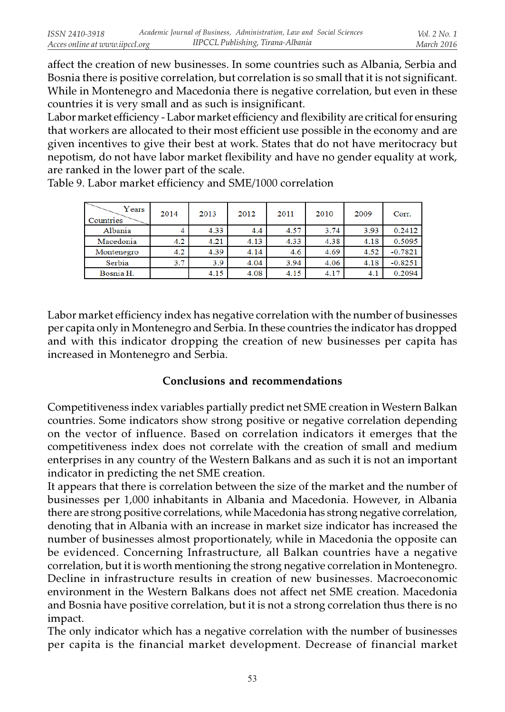affect the creation of new businesses. In some countries such as Albania, Serbia and Bosnia there is positive correlation, but correlation is so small that it is not significant. While in Montenegro and Macedonia there is negative correlation, but even in these countries it is very small and as such is insignificant.

Labor market efficiency - Labor market efficiency and flexibility are critical for ensuring that workers are allocated to their most efficient use possible in the economy and are given incentives to give their best at work. States that do not have meritocracy but nepotism, do not have labor market flexibility and have no gender equality at work, are ranked in the lower part of the scale.

| Years<br>Countries | 2014 | 2013 | 2012 | 2011 | 2010 | 2009 | Corr.     |
|--------------------|------|------|------|------|------|------|-----------|
| Albania            |      | 4.33 | 4.4  | 4.57 | 3.74 | 3.93 | 0.2412    |
| Macedonia          | 4.2. | 4.21 | 4.13 | 4.33 | 4.38 | 4.18 | 0.5095    |
| Montenegro         | 4.2  | 4.39 | 4.14 | 4.6  | 4.69 | 4.52 | $-0.7821$ |
| Serbia             | 3.7  | 3.9  | 4.04 | 3.94 | 4.06 | 4.18 | $-0.8251$ |
| Bosnia H.          |      | 4.15 | 4.08 | 4.15 | 4.17 | 4.1  | 0.2094    |

Table 9. Labor market efficiency and SME/1000 correlation

Labor market efficiency index has negative correlation with the number of businesses per capita only in Montenegro and Serbia. In these countries the indicator has dropped and with this indicator dropping the creation of new businesses per capita has increased in Montenegro and Serbia.

### Conclusions and recommendations

Competitiveness index variables partially predict net SME creation in Western Balkan countries. Some indicators show strong positive or negative correlation depending on the vector of influence. Based on correlation indicators it emerges that the competitiveness index does not correlate with the creation of small and medium enterprises in any country of the Western Balkans and as such it is not an important indicator in predicting the net SME creation.

It appears that there is correlation between the size of the market and the number of businesses per 1,000 inhabitants in Albania and Macedonia. However, in Albania there are strong positive correlations, while Macedonia has strong negative correlation, denoting that in Albania with an increase in market size indicator has increased the number of businesses almost proportionately, while in Macedonia the opposite can be evidenced. Concerning Infrastructure, all Balkan countries have a negative correlation, but it is worth mentioning the strong negative correlation in Montenegro. Decline in infrastructure results in creation of new businesses. Macroeconomic environment in the Western Balkans does not affect net SME creation. Macedonia and Bosnia have positive correlation, but it is not a strong correlation thus there is no impact.

The only indicator which has a negative correlation with the number of businesses per capita is the financial market development. Decrease of financial market